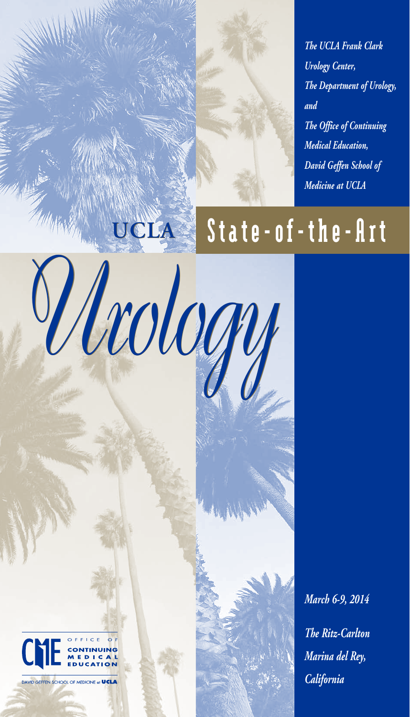*The UCLA Frank Clark Urology Center, The Department of Urology, and The Office of Continuing Medical Education, David Geffen School of Medicine at UCLA*

## **UCLA** State-of-the-Art

*Urology Urology*



DAVID GEFFEN SCHOOL OF MEDICINE at UCLA

*March 6-9, 2014 The Ritz-Carlton Marina del Rey, California*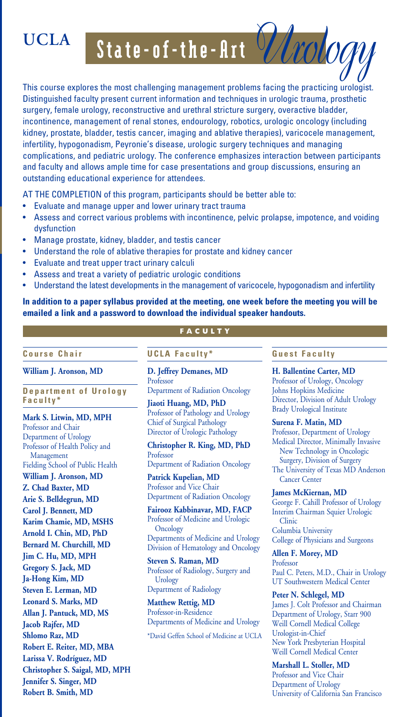UCLA State-of-the-Art *Utology* 

This course explores the most challenging management problems facing the practicing urologist. Distinguished faculty present current information and techniques in urologic trauma, prosthetic surgery, female urology, reconstructive and urethral stricture surgery, overactive bladder, incontinence, management of renal stones, endourology, robotics, urologic oncology (including kidney, prostate, bladder, testis cancer, imaging and ablative therapies), varicocele management, infertility, hypogonadism, Peyronie's disease, urologic surgery techniques and managing complications, and pediatric urology. The conference emphasizes interaction between participants and faculty and allows ample time for case presentations and group discussions, ensuring an outstanding educational experience for attendees.

AT THE COMPLETION of this program, participants should be better able to:

- Evaluate and manage upper and lower urinary tract trauma
- Assess and correct various problems with incontinence, pelvic prolapse, impotence, and voiding dysfunction
- Manage prostate, kidney, bladder, and testis cancer
- Understand the role of ablative therapies for prostate and kidney cancer
- Evaluate and treat upper tract urinary calculi
- Assess and treat a variety of pediatric urologic conditions
- Understand the latest developments in the management of varicocele, hypogonadism and infertility

**In addition to a paper syllabus provided at the meeting, one week before the meeting you will be emailed a link and a password to download the individual speaker handouts.**

**Cour se Ch air**

**William J. Aronson, MD**

**Department of Urology Faculty\***

**Mark S. Litwin, MD, MPH** Professor and Chair Department of Urology Professor of Health Policy and Management Fielding School of Public Health **William J. Aronson, MD Z. Chad Baxter, MD Arie S. Belldegrun, MD Carol J. Bennett, MD Karim Chamie, MD, MSHS Arnold I. Chin, MD, PhD Bernard M. Churchill, MD Jim C. Hu, MD, MPH Gregory S. Jack, MD Ja-Hong Kim, MD Steven E. Lerman, MD Leonard S. Marks, MD Allan J. Pantuck, MD, MS Jacob Rajfer, MD Shlomo Raz, MD Robert E. Reiter, MD, MBA Larissa V. Rodríguez, MD Christopher S. Saigal, MD, MPH Jennifer S. Singer, MD Robert B. Smith, MD**

### **FACULTY**

**UCLA Faculty\***

**D. Jeffrey Demanes, MD**  Professor Department of Radiation Oncology

**Jiaoti Huang, MD, PhD** Professor of Pathology and Urology Chief of Surgical Pathology Director of Urologic Pathology

**Christopher R. King, MD, PhD** Professor Department of Radiation Oncology

**Patrick Kupelian, MD** Professor and Vice Chair Department of Radiation Oncology

**Fairooz Kabbinavar, MD, FACP** Professor of Medicine and Urologic **Oncology** Departments of Medicine and Urology Division of Hematology and Oncology

**Steven S. Raman, MD** Professor of Radiology, Surgery and Urology Department of Radiology

**Matthew Rettig, MD** Professor-in-Residence Departments of Medicine and Urology

\*David Geffen School of Medicine at UCLA

#### **Guest Faculty**

**H. Ballentine Carter, MD** Professor of Urology, Oncology Johns Hopkins Medicine Director, Division of Adult Urology Brady Urological Institute

**Surena F. Matin, MD** Professor, Department of Urology Medical Director, Minimally Invasive New Technology in Oncologic Surgery, Division of Surgery The University of Texas MD Anderson Cancer Center

**James McKiernan, MD**  George F. Cahill Professor of Urology Interim Chairman Squier Urologic Clinic Columbia University College of Physicians and Surgeons

**Allen F. Morey, MD** Professor Paul C. Peters, M.D., Chair in Urology UT Southwestern Medical Center

**Peter N. Schlegel, MD** James J. Colt Professor and Chairman Department of Urology, Starr 900 Weill Cornell Medical College Urologist-in-Chief New York Presbyterian Hospital Weill Cornell Medical Center

**Marshall L. Stoller, MD** Professor and Vice Chair Department of Urology University of California San Francisco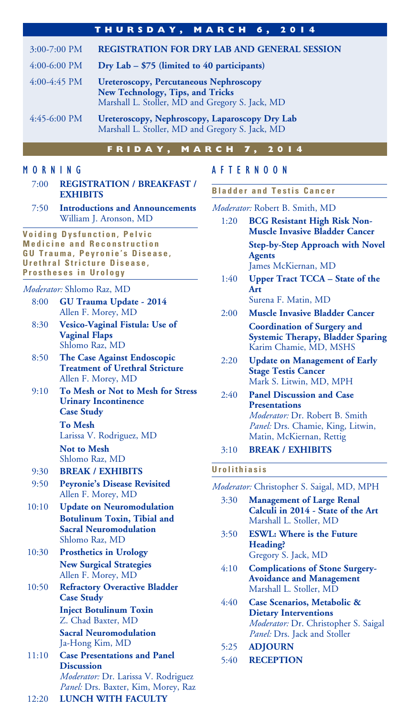|                | THURSDAY, MARCH 6, 2014                                                                                                              |  |  |  |
|----------------|--------------------------------------------------------------------------------------------------------------------------------------|--|--|--|
| $3:00-7:00$ PM | <b>REGISTRATION FOR DRY LAB AND GENERAL SESSION</b>                                                                                  |  |  |  |
| $4:00-6:00$ PM | Dry Lab $-$ \$75 (limited to 40 participants)                                                                                        |  |  |  |
| $4:00-4:45$ PM | <b>Ureteroscopy, Percutaneous Nephroscopy</b><br>New Technology, Tips, and Tricks<br>Marshall L. Stoller, MD and Gregory S. Jack, MD |  |  |  |
| $4:45-6:00$ PM | Ureteroscopy, Nephroscopy, Laparoscopy Dry Lab<br>Marshall L. Stoller, MD and Gregory S. Jack, MD                                    |  |  |  |

#### **FRIDAY, MARCH 7, 2014**

#### MORNING

| 7:00 | <b>REGISTRATION / BREAKFAST /</b> |
|------|-----------------------------------|
|      | <b>EXHIBITS</b>                   |

7:50 **Introductions and Announcements** William J. Aronson, MD

**Voiding Dysfunction, Pelvic Medicine and Reconstruction G U T r a u m a , P e y r o n i e ' s D i s e a s e ,**  Urethral Stricture Disease. **Prostheses in Urology**

#### *Moderator:* Shlomo Raz, MD

- 8:00 **GU Trauma Update 2014** Allen F. Morey, MD
- 8:30 **Vesico-Vaginal Fistula: Use of Vaginal Flaps** Shlomo Raz, MD
- 8:50 **The Case Against Endoscopic Treatment of Urethral Stricture** Allen F. Morey, MD
- 9:10 **To Mesh or Not to Mesh for Stress Urinary Incontinence Case Study To Mesh**

 Larissa V. Rodriguez, MD **Not to Mesh**

Shlomo Raz, MD

- 9:30 **BREAK / EXHIBITS**
- 9:50 **Peyronie's Disease Revisited** Allen F. Morey, MD
- 10:10 **Update on Neuromodulation Botulinum Toxin, Tibial and Sacral Neuromodulation** Shlomo Raz, MD
- 10:30 **Prosthetics in Urology New Surgical Strategies** Allen F. Morey, MD
- 10:50 **Refractory Overactive Bladder Case Study Inject Botulinum Toxin** Z. Chad Baxter, MD

 **Sacral Neuromodulation** Ja-Hong Kim, MD

11:10 **Case Presentations and Panel Discussion** *Moderator:* Dr. Larissa V. Rodriguez *Panel:* Drs. Baxter, Kim, Morey, Raz 12:20 **LUNCH WITH FACULTY** 

#### **Step-by-Step Approach with Novel Agents**

AFTERNOON

**Bladder and Testis Cancer** *Moderator:* Robert B. Smith, MD

James McKiernan, MD

1:40 **Upper Tract TCCA – State of the Art**

1:20 **BCG Resistant High Risk Non-Muscle Invasive Bladder Cancer**

Surena F. Matin, MD

- 2:00 **Muscle Invasive Bladder Cancer Coordination of Surgery and Systemic Therapy, Bladder Sparing** Karim Chamie, MD, MSHS
- 2:20 **Update on Management of Early Stage Testis Cancer** Mark S. Litwin, MD, MPH
- 2:40 **Panel Discussion and Case Presentations** *Moderator:* Dr. Robert B. Smith *Panel:* Drs. Chamie, King, Litwin, Matin, McKiernan, Rettig
- 3:10 **BREAK / EXHIBITS**

#### **U r o l i t h i a s i s**

#### *Moderator:* Christopher S. Saigal, MD, MPH

- 3:30 **Management of Large Renal Calculi in 2014 - State of the Art** Marshall L. Stoller, MD
- 3:50 **ESWL: Where is the Future Heading?** Gregory S. Jack, MD
- 4:10 **Complications of Stone Surgery-Avoidance and Management** Marshall L. Stoller, MD
- 4:40 **Case Scenarios, Metabolic & Dietary Interventions** *Moderator:* Dr. Christopher S. Saigal *Panel:* Drs. Jack and Stoller
- 5:25 **ADJOURN**
- 5:40 **RECEPTION**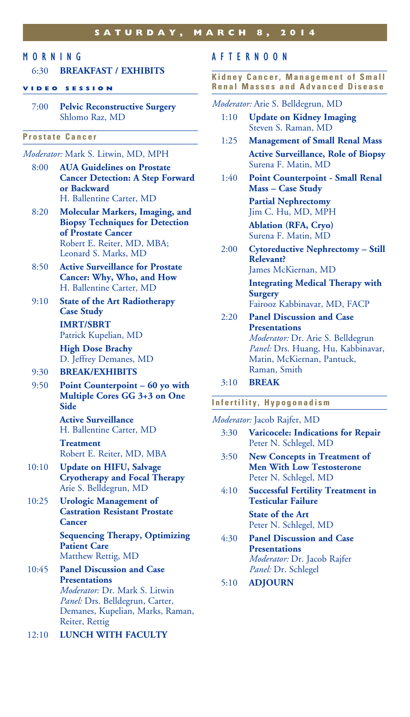#### **saturday , MARCH 8, 2014**

#### MORNING

#### 6:30 **BREAKFAST / EXHIBITS**

#### **V I D E O S E S S I O N**

7:00 **Pelvic Reconstructive Surgery** Shlomo Raz, MD

#### **Prostate Cancer**

#### *Moderator:* Mark S. Litwin, MD, MPH

- 8:00 **AUA Guidelines on Prostate Cancer Detection: A Step Forward or Backward** H. Ballentine Carter, MD
- 8:20 **Molecular Markers, Imaging, and Biopsy Techniques for Detection of Prostate Cancer** Robert E. Reiter, MD, MBA; Leonard S. Marks, MD
- 8:50 **Active Surveillance for Prostate Cancer: Why, Who, and How** H. Ballentine Carter, MD
- 9:10 **State of the Art Radiotherapy Case Study IMRT/SBRT** Patrick Kupelian, MD

 **High Dose Brachy** D. Jeffrey Demanes, MD

#### 9:30 **BREAK/EXHIBITS**

9:50 **Point Counterpoint – 60 yo with Multiple Cores GG 3+3 on One Side**

> **Active Surveillance** H. Ballentine Carter, MD

#### **Treatment** Robert E. Reiter, MD, MBA

- 10:10 **Update on HIFU, Salvage Cryotherapy and Focal Therapy** Arie S. Belldegrun, MD
- 10:25 **Urologic Management of Castration Resistant Prostate Cancer**

 **Sequencing Therapy, Optimizing Patient Care** Matthew Rettig, MD

- 10:45 **Panel Discussion and Case Presentations** *Moderator:* Dr. Mark S. Litwin *Panel:* Drs. Belldegrun, Carter, Demanes, Kupelian, Marks, Raman, Reiter, Rettig
- 12:10 **LUNCH WITH FACULTY**

#### AFTERNOON

**Kidney Cancer, Management of Small Renal Masses and Advanced Disease**

*Moderator:* Arie S. Belldegrun, MD

- 1:10 **Update on Kidney Imaging** Steven S. Raman, MD
- 1:25 **Management of Small Renal Mass Active Surveillance, Role of Biopsy** Surena F. Matin, MD
- 1:40 **Point Counterpoint Small Renal Mass – Case Study Partial Nephrectomy**

Jim C. Hu, MD, MPH

 **Ablation (RFA, Cryo)** Surena F. Matin, MD

2:00 **Cytoreductive Nephrectomy – Still Relevant?** James McKiernan, MD **Integrating Medical Therapy with** 

**Surgery** Fairooz Kabbinavar, MD, FACP

- 2:20 **Panel Discussion and Case Presentations** *Moderator:* Dr. Arie S. Belldegrun *Panel:* Drs. Huang, Hu, Kabbinavar, Matin, McKiernan, Pantuck, Raman, Smith
- 3:10 **Break**

#### **Infertility, Hypogonadism**

*Moderator:* Jacob Rajfer, MD

- 3:30 **Varicocele: Indications for Repair** Peter N. Schlegel, MD
- 3:50 **New Concepts in Treatment of Men With Low Testosterone** Peter N. Schlegel, MD
- 4:10 **Successful Fertility Treatment in Testicular Failure State of the Art** Peter N. Schlegel, MD
- 4:30 **Panel Discussion and Case Presentations** *Moderator:* Dr. Jacob Rajfer *Panel:* Dr. Schlegel
- 5:10 **ADJOURN**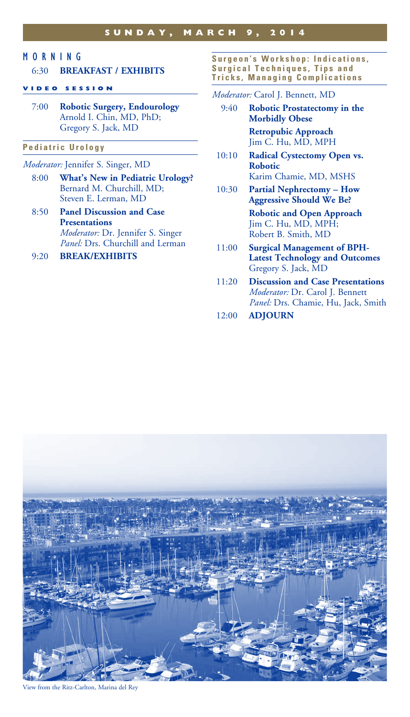#### MORNING

#### 6:30 **BREAKFAST / EXHIBITS**

#### **VIDEO SESSION**

7:00 **Robotic Surgery, Endourology** Arnold I. Chin, MD, PhD; Gregory S. Jack, MD

#### **P e d i a t r i c U r o l o g y**

#### *Moderator:* Jennifer S. Singer, MD

- 8:00 **What's New in Pediatric Urology?** Bernard M. Churchill, MD; Steven E. Lerman, MD
- 8:50 **Panel Discussion and Case Presentations** *Moderator:* Dr. Jennifer S. Singer *Panel:* Drs. Churchill and Lerman

#### 9:20 **BREAK/EXHIBITS**

Surgeon's Workshop: Indications, **Surgical Techniques, Tips and Tricks, Managing Complications**

#### *Moderator:* Carol J. Bennett, MD

- 9:40 **Robotic Prostatectomy in the Morbidly Obese Retropubic Approach** Jim C. Hu, MD, MPH
- 10:10 **Radical Cystectomy Open vs. Robotic** Karim Chamie, MD, MSHS
- 10:30 **Partial Nephrectomy How Aggressive Should We Be?**

 **Robotic and Open Approach** Jim C. Hu, MD, MPH; Robert B. Smith, MD

- 11:00 **Surgical Management of BPH-Latest Technology and Outcomes** Gregory S. Jack, MD
- 11:20 **Discussion and Case Presentations** *Moderator:* Dr. Carol J. Bennett *Panel:* Drs. Chamie, Hu, Jack, Smith
- 12:00 **ADJOURN**



View from the Ritz-Carlton, Marina del Rey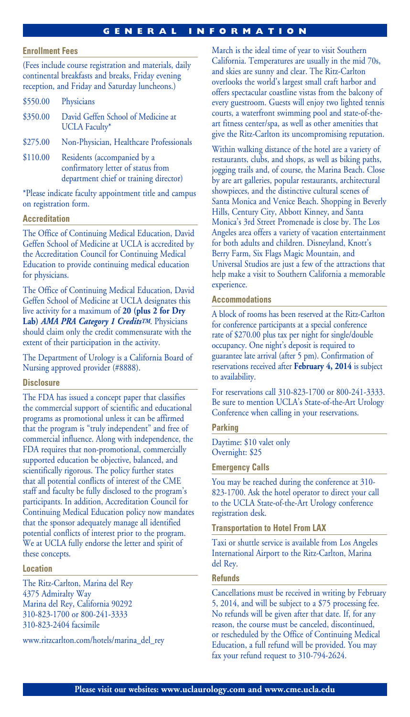### **g eneral information**

#### **Enrollment Fees**

(Fees include course registration and materials, daily continental breakfasts and breaks, Friday evening reception, and Friday and Saturday luncheons.)

- \$550.00 Physicians
- \$350.00 David Geffen School of Medicine at UCLA Faculty\*
- \$275.00 Non-Physician, Healthcare Professionals
- \$110.00 Residents (accompanied by a confirmatory letter of status from department chief or training director)

\*Please indicate faculty appointment title and campus on registration form.

#### **Accreditation**

The Office of Continuing Medical Education, David Geffen School of Medicine at UCLA is accredited by the Accreditation Council for Continuing Medical Education to provide continuing medical education for physicians.

The Office of Continuing Medical Education, David Geffen School of Medicine at UCLA designates this live activity for a maximum of **20 (plus 2 for Dry Lab)** *AMA PRA Category 1 CreditsTM*. Physicians should claim only the credit commensurate with the extent of their participation in the activity.

The Department of Urology is a California Board of Nursing approved provider (#8888).

#### **Disclosure**

The FDA has issued a concept paper that classifies the commercial support of scientific and educational programs as promotional unless it can be affirmed that the program is "truly independent" and free of commercial influence. Along with independence, the FDA requires that non-promotional, commercially supported education be objective, balanced, and scientifically rigorous. The policy further states that all potential conflicts of interest of the CME staff and faculty be fully disclosed to the program's participants. In addition, Accreditation Council for Continuing Medical Education policy now mandates that the sponsor adequately manage all identified potential conflicts of interest prior to the program. We at UCLA fully endorse the letter and spirit of these concepts.

#### **Location**

The Ritz-Carlton, Marina del Rey 4375 Admiralty Way Marina del Rey, California 90292 310-823-1700 or 800-241-3333 310-823-2404 facsimile

www.ritzcarlton.com/hotels/marina\_del\_rey

March is the ideal time of year to visit Southern California. Temperatures are usually in the mid 70s, and skies are sunny and clear. The Ritz-Carlton overlooks the world's largest small craft harbor and offers spectacular coastline vistas from the balcony of every guestroom. Guests will enjoy two lighted tennis courts, a waterfront swimming pool and state-of-theart fitness center/spa, as well as other amenities that give the Ritz-Carlton its uncompromising reputation.

Within walking distance of the hotel are a variety of restaurants, clubs, and shops, as well as biking paths, jogging trails and, of course, the Marina Beach. Close by are art galleries, popular restaurants, architectural showpieces, and the distinctive cultural scenes of Santa Monica and Venice Beach. Shopping in Beverly Hills, Century City, Abbott Kinney, and Santa Monica's 3rd Street Promenade is close by. The Los Angeles area offers a variety of vacation entertainment for both adults and children. Disneyland, Knott's Berry Farm, Six Flags Magic Mountain, and Universal Studios are just a few of the attractions that help make a visit to Southern California a memorable experience.

#### **Accommodations**

A block of rooms has been reserved at the Ritz-Carlton for conference participants at a special conference rate of \$270.00 plus tax per night for single/double occupancy. One night's deposit is required to guarantee late arrival (after 5 pm). Confirmation of reservations received after **February 4, 2014** is subject to availability.

For reservations call 310-823-1700 or 800-241-3333. Be sure to mention UCLA's State-of-the-Art Urology Conference when calling in your reservations.

#### **Parking**

Daytime: \$10 valet only Overnight: \$25

#### **Emergency Calls**

You may be reached during the conference at 310- 823-1700. Ask the hotel operator to direct your call to the UCLA State-of-the-Art Urology conference registration desk.

#### **Transportation to Hotel From LAX**

Taxi or shuttle service is available from Los Angeles International Airport to the Ritz-Carlton, Marina del Rey.

#### **Refunds**

Cancellations must be received in writing by February 5, 2014, and will be subject to a \$75 processing fee. No refunds will be given after that date. If, for any reason, the course must be canceled, discontinued, or rescheduled by the Office of Continuing Medical Education, a full refund will be provided. You may fax your refund request to 310-794-2624.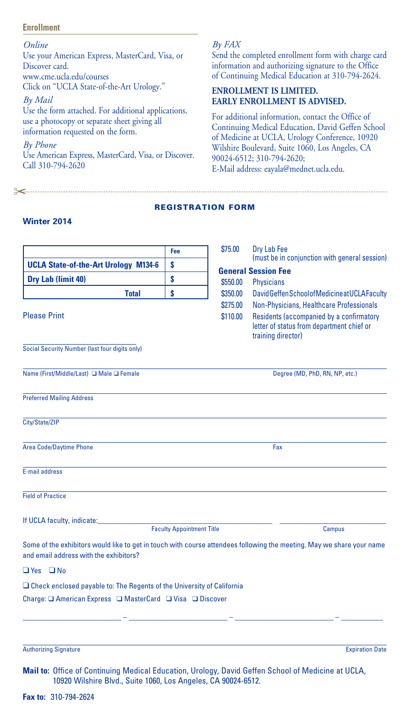#### **Enrollment**

*Online* Use your American Express, MasterCard, Visa, or Discover card. www.cme.ucla.edu/courses Click on "UCLA State-of-the-Art Urology." *By Mail* Use the form attached. For additional applications, use a photocopy or separate sheet giving all information requested on the form. *By Phone* Use American Express, MasterCard, Visa, or Discover. Call 310-794-2620

"

#### *By FAX*

Send the completed enrollment form with charge card information and authorizing signature to the Office of Continuing Medical Education at 310-794-2624.

#### **ENROLLMENT IS LIMITED. EARLY ENROLLMENT IS ADVISED.**

For additional information, contact the Office of Continuing Medical Education, David Geffen School of Medicine at UCLA, Urology Conference, 10920 Wilshire Boulevard, Suite 1060, Los Angeles, CA 90024-6512; 310-794-2620; E-Mail address: eayala@mednet.ucla.edu.

#### registration form

#### **Winter 2014**

|                                                                                                                                                                     | Fee                              | \$75.00  | Dry Lab Fee                                                                                                 |  |
|---------------------------------------------------------------------------------------------------------------------------------------------------------------------|----------------------------------|----------|-------------------------------------------------------------------------------------------------------------|--|
| <b>UCLA State-of-the-Art Urology M134-6</b>                                                                                                                         | S                                |          | (must be in conjunction with general session)<br><b>General Session Fee</b>                                 |  |
| Dry Lab (limit 40)                                                                                                                                                  | \$                               | \$550.00 | <b>Physicians</b>                                                                                           |  |
| <b>Total</b>                                                                                                                                                        | \$                               | \$350.00 | David Geffen School of Medicine at UCLA Faculty                                                             |  |
|                                                                                                                                                                     |                                  | \$275.00 | Non-Physicians, Healthcare Professionals                                                                    |  |
| <b>Please Print</b>                                                                                                                                                 |                                  | \$110.00 | Residents (accompanied by a confirmatory<br>letter of status from department chief or<br>training director) |  |
| Social Security Number (last four digits only)                                                                                                                      |                                  |          |                                                                                                             |  |
| Name (First/Middle/Last) □ Male □ Female                                                                                                                            |                                  |          | Degree (MD, PhD, RN, NP, etc.)                                                                              |  |
| <b>Preferred Mailing Address</b>                                                                                                                                    |                                  |          |                                                                                                             |  |
| City/State/ZIP                                                                                                                                                      |                                  |          |                                                                                                             |  |
| <b>Area Code/Daytime Phone</b>                                                                                                                                      |                                  |          | Fax                                                                                                         |  |
| <b>E-mail address</b>                                                                                                                                               |                                  |          |                                                                                                             |  |
| <b>Field of Practice</b>                                                                                                                                            |                                  |          |                                                                                                             |  |
| If UCLA faculty, indicate:                                                                                                                                          | <b>Faculty Appointment Title</b> |          | <b>Campus</b>                                                                                               |  |
| Some of the exhibitors would like to get in touch with course attendees following the meeting. May we share your name<br>and email address with the exhibitors?     |                                  |          |                                                                                                             |  |
| $\Box$ Yes $\Box$ No                                                                                                                                                |                                  |          |                                                                                                             |  |
| $\Box$ Check enclosed payable to: The Regents of the University of California                                                                                       |                                  |          |                                                                                                             |  |
|                                                                                                                                                                     |                                  |          |                                                                                                             |  |
|                                                                                                                                                                     |                                  |          |                                                                                                             |  |
| <b>Authorizing Signature</b>                                                                                                                                        |                                  |          | <b>Expiration Date</b>                                                                                      |  |
| Mail to: Office of Continuing Medical Education, Urology, David Geffen School of Medicine at UCLA,<br>10920 Wilshire Blvd., Suite 1060, Los Angeles, CA 90024-6512. |                                  |          |                                                                                                             |  |

**Fax to:** 310-794-2624